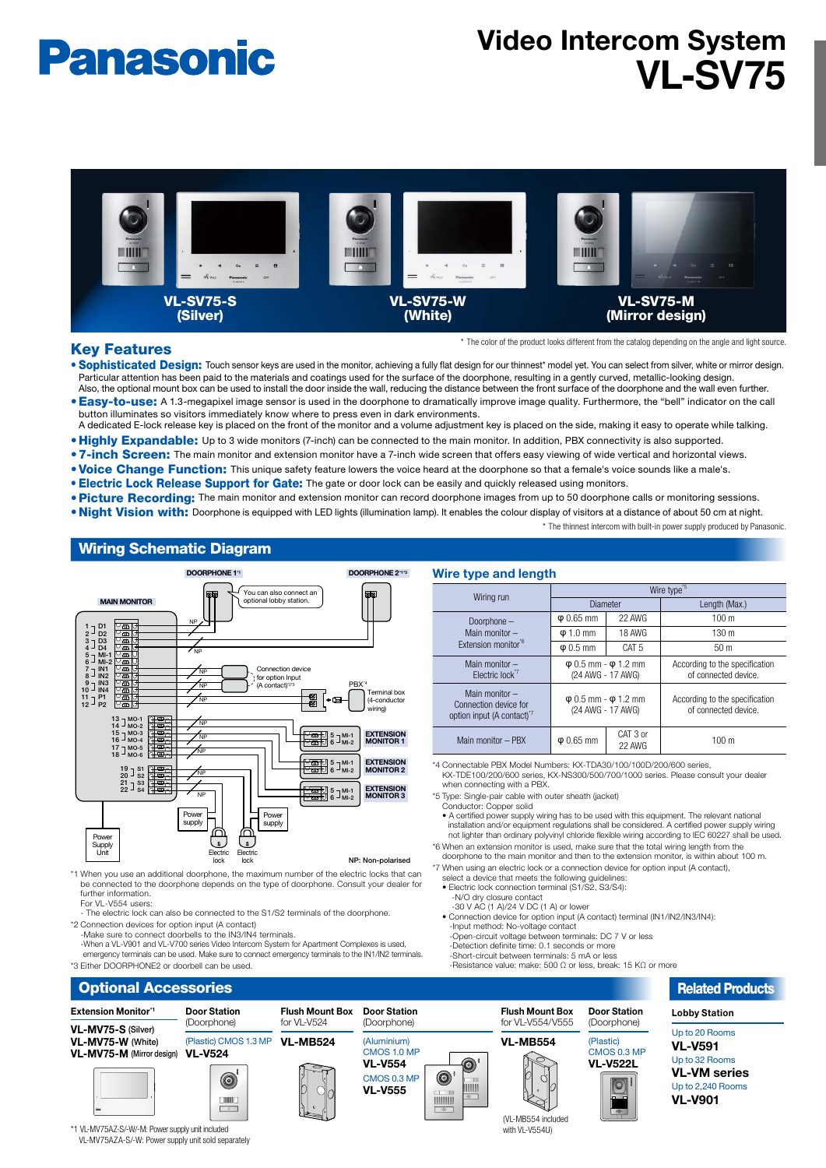# **Panasonic**

# **Video Intercom System VI-SV75**



### **Key Features**

\* The color of the product looks different from the catalog depending on the angle and light source.

- . Sophisticated Design: Touch sensor keys are used in the monitor, achieving a fully flat design for our thinnest\* model yet. You can select from silver, white or mirror design. Particular attention has been paid to the materials and coatings used for the surface of the doorphone, resulting in a gently curved, metallic-looking design. Also, the optional mount box can be used to install the door inside the wall, reducing the distance between the front surface of the doorphone and the wall even further.
- . Easy-to-use: A 1.3-megapixel image sensor is used in the doorphone to dramatically improve image quality. Furthermore, the "bell" indicator on the call button illuminates so visitors immediately know where to press even in dark environments. A dedicated E-lock release key is placed on the front of the monitor and a volume adjustment key is placed on the side, making it easy to operate while talking.
- 
- . Highly Expandable: Up to 3 wide monitors (7-inch) can be connected to the main monitor. In addition, PBX connectivity is also supported.
- . 7-inch Screen: The main monitor and extension monitor have a 7-inch wide screen that offers easy viewing of wide vertical and horizontal views.
- . Voice Change Function: This unique safety feature lowers the voice heard at the doorphone so that a female's voice sounds like a male's.
- **. Electric Lock Release Support for Gate:** The gate or door lock can be easily and quickly released using monitors.
- . Picture Recording: The main monitor and extension monitor can record doorphone images from up to 50 doorphone calls or monitoring sessions.
- . Night Vision with: Doorphone is equipped with LED lights (illumination lamp). It enables the colour display of visitors at a distance of about 50 cm at night. \* The thinnest intercom with built-in power supply produced by Panasonic.

## **Wiring Schematic Diagram**



\*1 When you use an additional doorphone, the maximum number of the electric locks that can be connected to the doorphone depends on the type of doorphone. Consult your dealer for further information For VL-V554 users:

The electric lock can also be connected to the S1/S2 terminals of the doorphone. \*2 Connection devices for ontion input (A contact)

**Example:** We connect doorbells to the IN3/IN4 terminals

-When a VL-V901 and VL-V700 series Video Intercom System for Apartment Complexes is used,<br>emergency terminals can be used. Make sure to connect emergency terminals to the IN1/IN2 terminals. \*3 Either DOORPHONE2 or doorbell can be used

**Wire type and length** Wire type Wiring run Diameter **Length (Max.)**  – Doorphone Main monitor -Extension monitor $\tilde{f}$  $\phi$  0.65 mm 22 AWG 100 m  $\phi$  1.0 mm | 18 AWG | 1.30 m  $\boxed{\phi 0.5 \text{ mm}}$  CAT 5 50 m Main monitor Electric lock  $φ$  0.5 mm  $φ$  1.2 mm (24 AWG - 17 AWG) According to the specification of connected device Main monitor -Connection device for option input (A contact)  $φ$  0.5 mm -  $φ$  1.2 mm  $(24 \text{ AMG} - 17 \text{ AMG})$ According to the specification of connected device  $CAT$  3  $O$ Main monitor – PBX  $\Box$  m 0.65 mm  $100 m$ AWG 22

\*4 Connectable PBX Model Numbers: KX-TDA30/100/100D/200/600 series dealer your consultation of the anti-term of the state of the state of the state,<br>KX-TDE100/200/600 series, KX-NS300/500/700/1000 series. Please consult your dealer when connecting with a PBX.

\*5 Type: Single-pair cable with outer sheath (jacket)

Sport Conductor: Copper solid

• A certified power supply wiring has to be used with this equipment. The relevant national installation and/or equipment regulations shall be considered. A certified power supply wiring not lighter than ordinary polyvinyl chloride flexible wiring according to IEC 60227 shall be used. \*6 When an extension monitor is used, make sure that the total wiring length from the

doorphone to the main monitor and then to the extension monitor, is within about 100 m.

- \*7 When using an electric lock or a connection device for option input (A contact), select a device that meets the following guidelines:<br>• Electric lock connection terminal (S1/S2, S3/S4):
- -N/O dry closure contact<br>-30 V AC (1 A)/24 V DC (1 A) or lower

 $\frac{1}{100}$  (111/2/IN3/IN4):<br>Connection device for option input (A contact) terminal (IN1/IN2/IN3/IN4):

- -Input method: No-voltage contact
- -Open-circuit voltage between terminals: DC 7 V or less<br>-Detection definite time: 0.1 seconds or more
- -Short-circuit between terminals: 5 mA or less

 $\frac{1}{\sqrt{2}}$  is the set of the communication of the section of  $\frac{1}{\sqrt{2}}$  or  $\frac{1}{\sqrt{2}}$  or  $\frac{1}{\sqrt{2}}$  or  $\frac{1}{\sqrt{2}}$  or  $\frac{1}{\sqrt{2}}$ 



\*1 VL-MV75AZ-S/-W/-M: Power supply unit included VL-MV75AZA-S/-W: Power supply unit sold separately